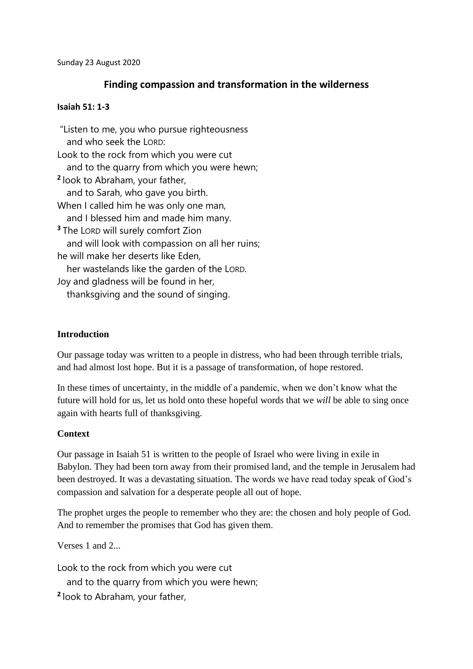## **Finding compassion and transformation in the wilderness**

### **Isaiah 51: 1-3**

"Listen to me, you who pursue righteousness and who seek the LORD: Look to the rock from which you were cut and to the quarry from which you were hewn; **2** look to Abraham, your father, and to Sarah, who gave you birth. When I called him he was only one man, and I blessed him and made him many. **<sup>3</sup>** The LORD will surely comfort Zion and will look with compassion on all her ruins; he will make her deserts like Eden, her wastelands like the garden of the LORD. Joy and gladness will be found in her, thanksgiving and the sound of singing.

### **Introduction**

Our passage today was written to a people in distress, who had been through terrible trials, and had almost lost hope. But it is a passage of transformation, of hope restored.

In these times of uncertainty, in the middle of a pandemic, when we don't know what the future will hold for us, let us hold onto these hopeful words that we *will* be able to sing once again with hearts full of thanksgiving.

### **Context**

Our passage in Isaiah 51 is written to the people of Israel who were living in exile in Babylon. They had been torn away from their promised land, and the temple in Jerusalem had been destroyed. It was a devastating situation. The words we have read today speak of God's compassion and salvation for a desperate people all out of hope.

The prophet urges the people to remember who they are: the chosen and holy people of God. And to remember the promises that God has given them.

Verses 1 and 2.

Look to the rock from which you were cut

and to the quarry from which you were hewn;

**2** look to Abraham, your father,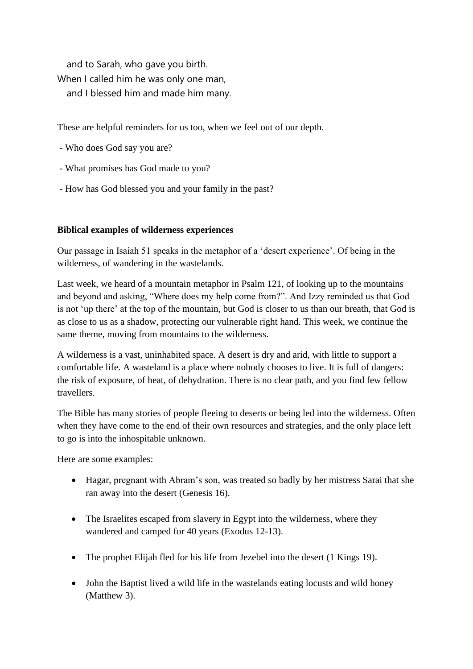and to Sarah, who gave you birth. When I called him he was only one man, and I blessed him and made him many.

These are helpful reminders for us too, when we feel out of our depth.

- Who does God say you are?
- What promises has God made to you?
- How has God blessed you and your family in the past?

# **Biblical examples of wilderness experiences**

Our passage in Isaiah 51 speaks in the metaphor of a 'desert experience'. Of being in the wilderness, of wandering in the wastelands.

Last week, we heard of a mountain metaphor in Psalm 121, of looking up to the mountains and beyond and asking, "Where does my help come from?". And Izzy reminded us that God is not 'up there' at the top of the mountain, but God is closer to us than our breath, that God is as close to us as a shadow, protecting our vulnerable right hand. This week, we continue the same theme, moving from mountains to the wilderness.

A wilderness is a vast, uninhabited space. A desert is dry and arid, with little to support a comfortable life. A wasteland is a place where nobody chooses to live. It is full of dangers: the risk of exposure, of heat, of dehydration. There is no clear path, and you find few fellow travellers.

The Bible has many stories of people fleeing to deserts or being led into the wilderness. Often when they have come to the end of their own resources and strategies, and the only place left to go is into the inhospitable unknown.

Here are some examples:

- Hagar, pregnant with Abram's son, was treated so badly by her mistress Sarai that she ran away into the desert (Genesis 16).
- The Israelites escaped from slavery in Egypt into the wilderness, where they wandered and camped for 40 years (Exodus 12-13).
- The prophet Elijah fled for his life from Jezebel into the desert (1 Kings 19).
- John the Baptist lived a wild life in the wastelands eating locusts and wild honey (Matthew 3).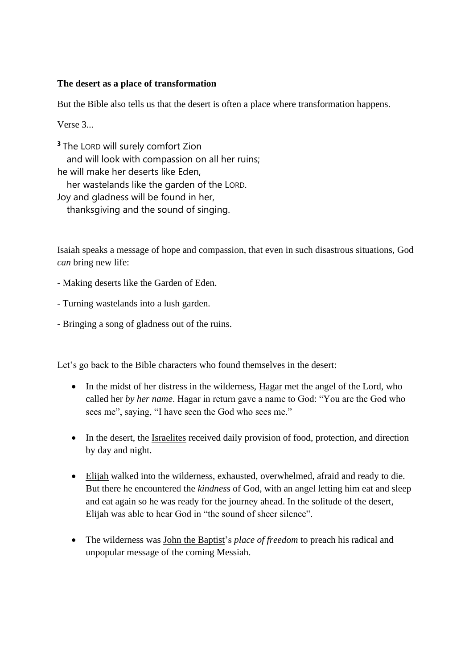### **The desert as a place of transformation**

But the Bible also tells us that the desert is often a place where transformation happens.

Verse 3...

**<sup>3</sup>** The LORD will surely comfort Zion and will look with compassion on all her ruins; he will make her deserts like Eden, her wastelands like the garden of the LORD. Joy and gladness will be found in her, thanksgiving and the sound of singing.

Isaiah speaks a message of hope and compassion, that even in such disastrous situations, God *can* bring new life:

- Making deserts like the Garden of Eden.

- Turning wastelands into a lush garden.

- Bringing a song of gladness out of the ruins.

Let's go back to the Bible characters who found themselves in the desert:

- In the midst of her distress in the wilderness, Hagar met the angel of the Lord, who called her *by her name*. Hagar in return gave a name to God: "You are the God who sees me", saying, "I have seen the God who sees me."
- In the desert, the Israelites received daily provision of food, protection, and direction by day and night.
- Elijah walked into the wilderness, exhausted, overwhelmed, afraid and ready to die. But there he encountered the *kindness* of God, with an angel letting him eat and sleep and eat again so he was ready for the journey ahead. In the solitude of the desert, Elijah was able to hear God in "the sound of sheer silence".
- The wilderness was John the Baptist's *place of freedom* to preach his radical and unpopular message of the coming Messiah.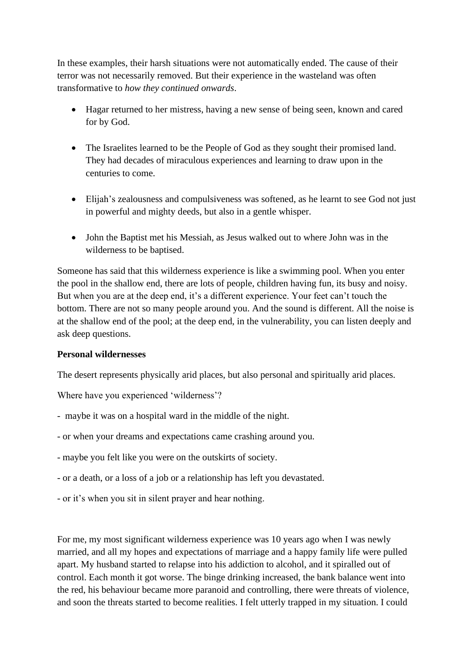In these examples, their harsh situations were not automatically ended. The cause of their terror was not necessarily removed. But their experience in the wasteland was often transformative to *how they continued onwards*.

- Hagar returned to her mistress, having a new sense of being seen, known and cared for by God.
- The Israelites learned to be the People of God as they sought their promised land. They had decades of miraculous experiences and learning to draw upon in the centuries to come.
- Elijah's zealousness and compulsiveness was softened, as he learnt to see God not just in powerful and mighty deeds, but also in a gentle whisper.
- John the Baptist met his Messiah, as Jesus walked out to where John was in the wilderness to be baptised.

Someone has said that this wilderness experience is like a swimming pool. When you enter the pool in the shallow end, there are lots of people, children having fun, its busy and noisy. But when you are at the deep end, it's a different experience. Your feet can't touch the bottom. There are not so many people around you. And the sound is different. All the noise is at the shallow end of the pool; at the deep end, in the vulnerability, you can listen deeply and ask deep questions.

## **Personal wildernesses**

The desert represents physically arid places, but also personal and spiritually arid places.

Where have you experienced 'wilderness'?

- maybe it was on a hospital ward in the middle of the night.
- or when your dreams and expectations came crashing around you.
- maybe you felt like you were on the outskirts of society.
- or a death, or a loss of a job or a relationship has left you devastated.
- or it's when you sit in silent prayer and hear nothing.

For me, my most significant wilderness experience was 10 years ago when I was newly married, and all my hopes and expectations of marriage and a happy family life were pulled apart. My husband started to relapse into his addiction to alcohol, and it spiralled out of control. Each month it got worse. The binge drinking increased, the bank balance went into the red, his behaviour became more paranoid and controlling, there were threats of violence, and soon the threats started to become realities. I felt utterly trapped in my situation. I could